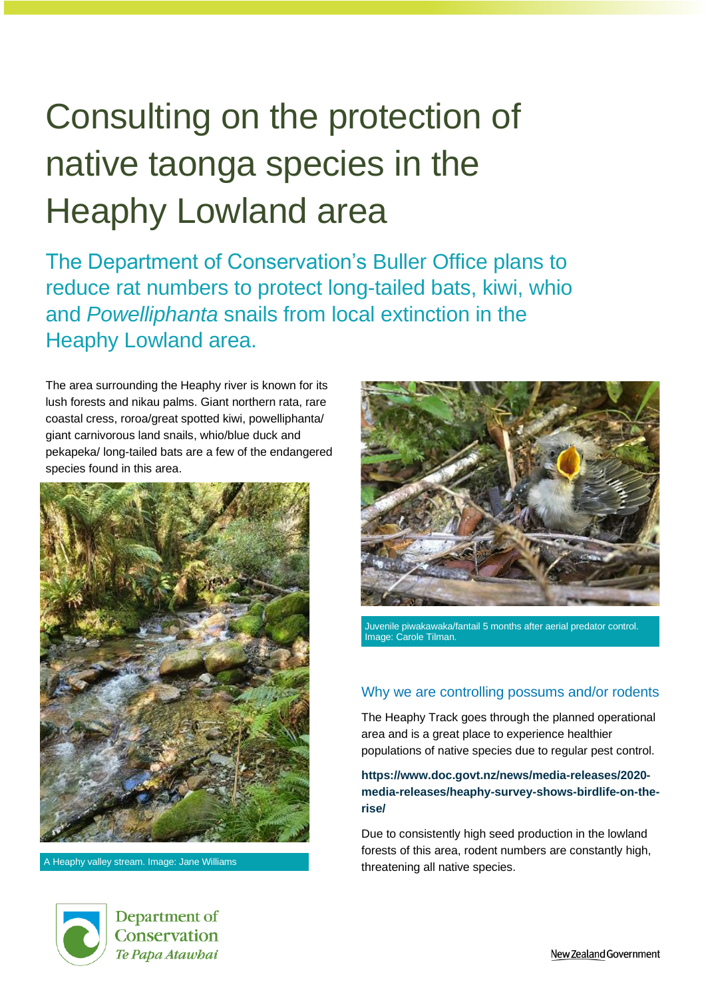# Consulting on the protection of native taonga species in the Heaphy Lowland area

The Department of Conservation's Buller Office plans to reduce rat numbers to protect long-tailed bats, kiwi, whio and *Powelliphanta* snails from local extinction in the Heaphy Lowland area.

The area surrounding the Heaphy river is known for its lush forests and nikau palms. Giant northern rata, rare coastal cress, roroa/great spotted kiwi, powelliphanta/ giant carnivorous land snails, whio/blue duck and pekapeka/ long-tailed bats are a few of the endangered species found in this area.





Juvenile piwakawaka/fantail 5 months after aerial predator control. Image: Carole Tilman.

## Why we are controlling possums and/or rodents

The Heaphy Track goes through the planned operational area and is a great place to experience healthier populations of native species due to regular pest control.

#### **[https://www.doc.govt.nz/news/media-releases/2020](https://www.doc.govt.nz/news/media-releases/2020-media-releases/heaphy-survey-shows-birdlife-on-the-rise/) [media-releases/heaphy-survey-shows-birdlife-on-the](https://www.doc.govt.nz/news/media-releases/2020-media-releases/heaphy-survey-shows-birdlife-on-the-rise/)[rise/](https://www.doc.govt.nz/news/media-releases/2020-media-releases/heaphy-survey-shows-birdlife-on-the-rise/)**

Due to consistently high seed production in the lowland forests of this area, rodent numbers are constantly high, A Heaphy valley stream. Image: Jane Williams **A Heaphy valley stream.** Image: Jane Williams **A Heapter Streams** threatening all native species.



Department of Conservation Te Papa Atawbai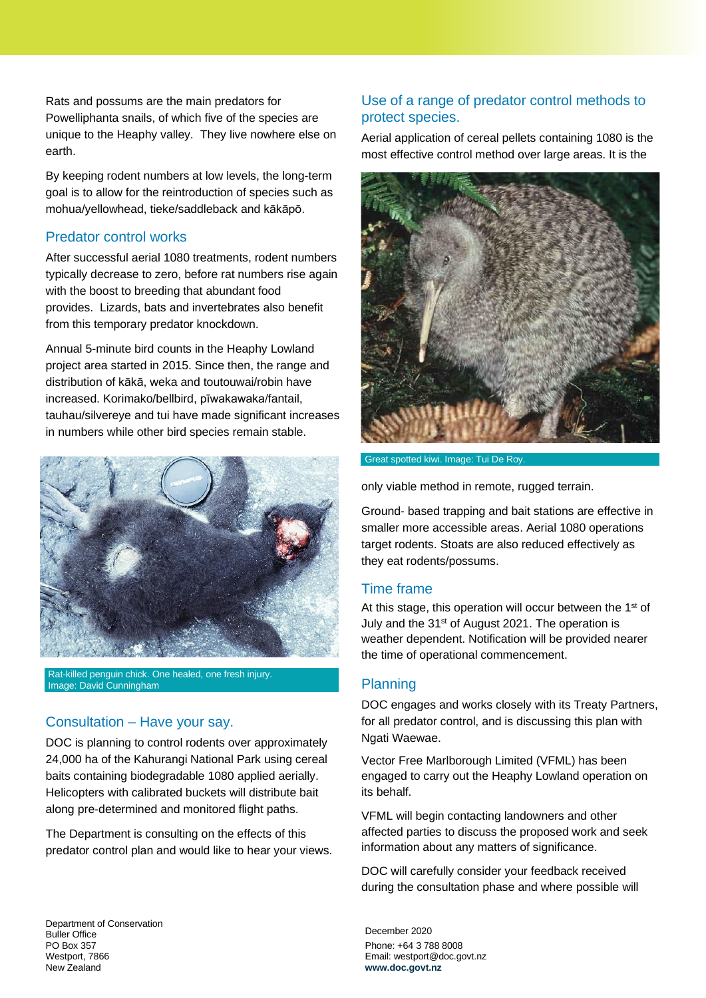Rats and possums are the main predators for Powelliphanta snails, of which five of the species are unique to the Heaphy valley. They live nowhere else on earth.

By keeping rodent numbers at low levels, the long-term goal is to allow for the reintroduction of species such as mohua/yellowhead, tieke/saddleback and kākāpō.

## Predator control works

After successful aerial 1080 treatments, rodent numbers typically decrease to zero, before rat numbers rise again with the boost to breeding that abundant food provides. Lizards, bats and invertebrates also benefit from this temporary predator knockdown.

Annual 5-minute bird counts in the Heaphy Lowland project area started in 2015. Since then, the range and distribution of kākā, weka and toutouwai/robin have increased. Korimako/bellbird, pīwakawaka/fantail, tauhau/silvereye and tui have made significant increases in numbers while other bird species remain stable.



Rat-killed penguin chick. One healed, one fresh injury. Image: David Cunningham

## Consultation – Have your say.

DOC is planning to control rodents over approximately 24,000 ha of the Kahurangi National Park using cereal baits containing biodegradable 1080 applied aerially. Helicopters with calibrated buckets will distribute bait along pre-determined and monitored flight paths.

The Department is consulting on the effects of this predator control plan and would like to hear your views.

## Use of a range of predator control methods to protect species.

Aerial application of cereal pellets containing 1080 is the most effective control method over large areas. It is the



Great spotted kiwi. Image: Tui De Roy.

only viable method in remote, rugged terrain.

Ground- based trapping and bait stations are effective in smaller more accessible areas. Aerial 1080 operations target rodents. Stoats are also reduced effectively as they eat rodents/possums.

#### Time frame

At this stage, this operation will occur between the 1<sup>st</sup> of July and the 31st of August 2021. The operation is weather dependent. Notification will be provided nearer the time of operational commencement.

## **Planning**

DOC engages and works closely with its Treaty Partners, for all predator control, and is discussing this plan with Ngati Waewae.

Vector Free Marlborough Limited (VFML) has been engaged to carry out the Heaphy Lowland operation on its behalf.

VFML will begin contacting landowners and other affected parties to discuss the proposed work and seek information about any matters of significance.

DOC will carefully consider your feedback received during the consultation phase and where possible will

December 2020 Phone: +64 3 788 8008 Email: westport@doc.govt.nz **[www.doc.govt.nz](file:///D:/Users/ygan/Documents/Custom%20Office%20Templates/www.doc.govt.nz)**

Department of Conservation Buller Office PO Box 357 Westport, 7866 New Zealand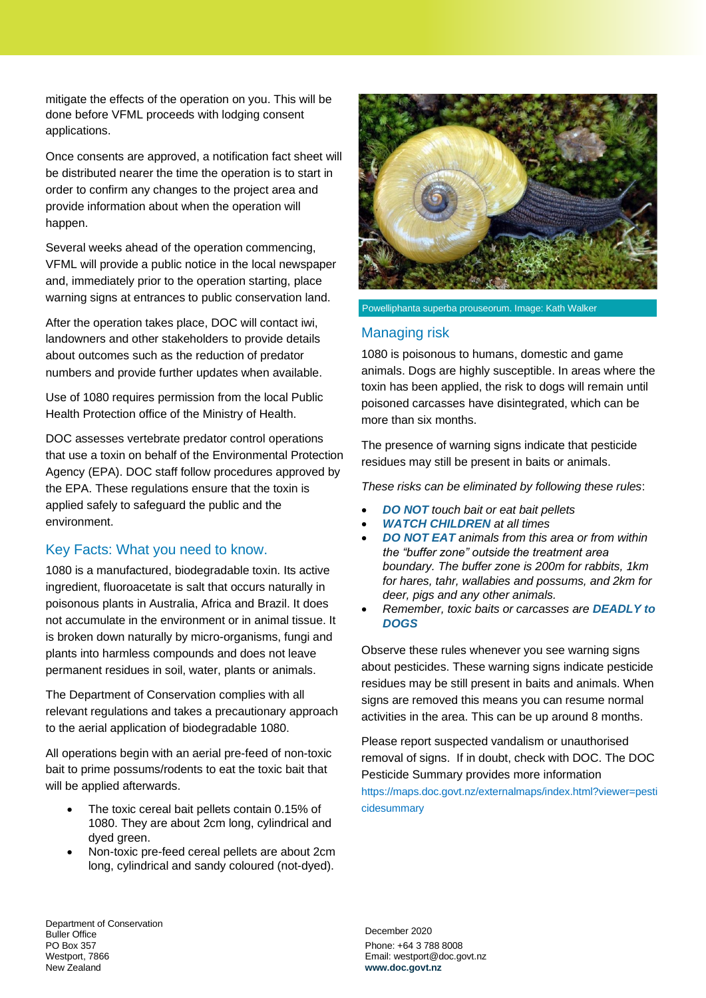mitigate the effects of the operation on you. This will be done before VFML proceeds with lodging consent applications.

Once consents are approved, a notification fact sheet will be distributed nearer the time the operation is to start in order to confirm any changes to the project area and provide information about when the operation will happen.

Several weeks ahead of the operation commencing, VFML will provide a public notice in the local newspaper and, immediately prior to the operation starting, place warning signs at entrances to public conservation land.

After the operation takes place, DOC will contact iwi, landowners and other stakeholders to provide details about outcomes such as the reduction of predator numbers and provide further updates when available.

Use of 1080 requires permission from the local Public Health Protection office of the Ministry of Health.

DOC assesses vertebrate predator control operations that use a toxin on behalf of the Environmental Protection Agency (EPA). DOC staff follow procedures approved by the EPA. These regulations ensure that the toxin is applied safely to safeguard the public and the environment.

## Key Facts: What you need to know.

1080 is a manufactured, biodegradable toxin. Its active ingredient, fluoroacetate is salt that occurs naturally in poisonous plants in Australia, Africa and Brazil. It does not accumulate in the environment or in animal tissue. It is broken down naturally by micro-organisms, fungi and plants into harmless compounds and does not leave permanent residues in soil, water, plants or animals.

The Department of Conservation complies with all relevant regulations and takes a precautionary approach to the aerial application of biodegradable 1080.

All operations begin with an aerial pre-feed of non-toxic bait to prime possums/rodents to eat the toxic bait that will be applied afterwards.

- The toxic cereal bait pellets contain 0.15% of 1080. They are about 2cm long, cylindrical and dyed green.
- Non-toxic pre-feed cereal pellets are about 2cm long, cylindrical and sandy coloured (not-dyed).



Powelliphanta superba prouseorum. Image: Kath Walker

#### Managing risk

1080 is poisonous to humans, domestic and game animals. Dogs are highly susceptible. In areas where the toxin has been applied, the risk to dogs will remain until poisoned carcasses have disintegrated, which can be more than six months.

The presence of warning signs indicate that pesticide residues may still be present in baits or animals.

*These risks can be eliminated by following these rules*:

- *DO NOT touch bait or eat bait pellets*
- *WATCH CHILDREN at all times*
- *DO NOT EAT animals from this area or from within the "buffer zone" outside the treatment area boundary. The buffer zone is 200m for rabbits, 1km for hares, tahr, wallabies and possums, and 2km for deer, pigs and any other animals.*
- *Remember, toxic baits or carcasses are DEADLY to DOGS*

Observe these rules whenever you see warning signs about pesticides. These warning signs indicate pesticide residues may be still present in baits and animals. When signs are removed this means you can resume normal activities in the area. This can be up around 8 months.

Please report suspected vandalism or unauthorised removal of signs. If in doubt, check with DOC. The DOC Pesticide Summary provides more information https://maps.doc.govt.nz/externalmaps/index.html?viewer=pesti cidesummary

Department of Conservation Buller Office PO Box 357 Westport, 7866 New Zealand

December 2020 Phone: +64 3 788 8008 Email: westport@doc.govt.nz **[www.doc.govt.nz](file:///D:/Users/ygan/Documents/Custom%20Office%20Templates/www.doc.govt.nz)**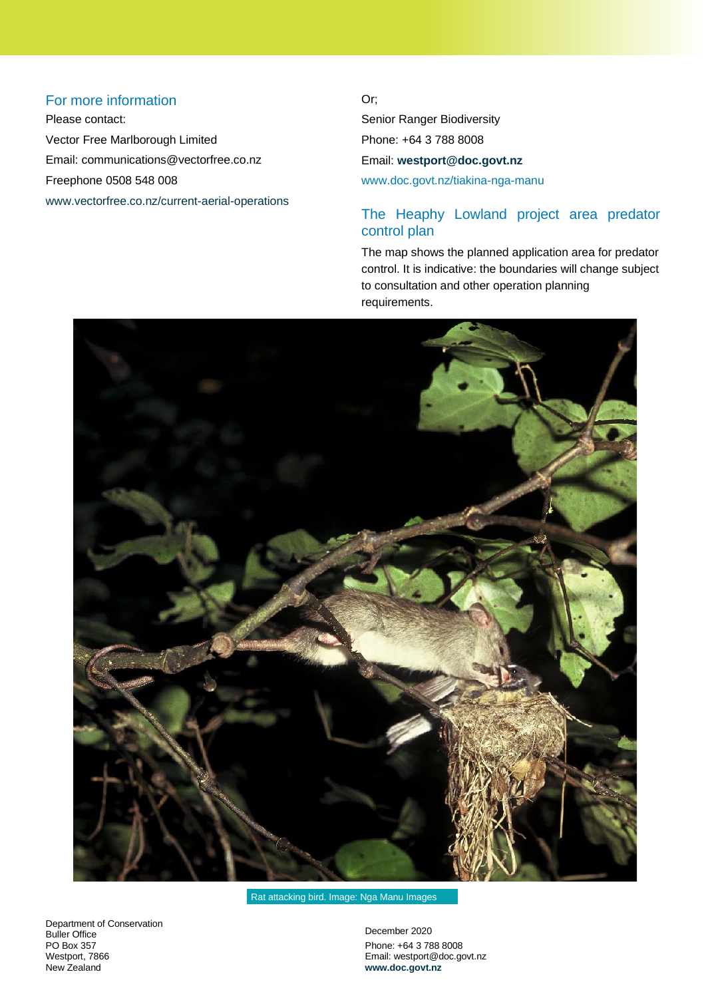## For more information

Please contact: Vector Free Marlborough Limited Email: [communications@vectorfree.co.nz](mailto:communications@vectorfree.co.nz) Freephone 0508 548 008 [www.vectorfree.co.nz/current-aerial-operations](http://www.vectorfree.co.nz/current-aerial-operations)  Or;

Senior Ranger Biodiversity Phone: +64 3 788 8008 Email: **[westport@doc.govt.nz](mailto:westport@doc.govt.nz)** [www.doc.govt.nz/tiakina-nga-manu](http://www.doc.govt.nz/tiakina-nga-manu)

# The Heaphy Lowland project area predator control plan

The map shows the planned application area for predator control. It is indicative: the boundaries will change subject to consultation and other operation planning requirements.



Rat attacking bird. Image: Nga Manu Images

Department of Conservation Buller Office PO Box 357 Westport, 7866 New Zealand

December 2020 Phone: +64 3 788 8008 Email: westport@doc.govt.nz **[www.doc.govt.nz](file:///D:/Users/ygan/Documents/Custom%20Office%20Templates/www.doc.govt.nz)**